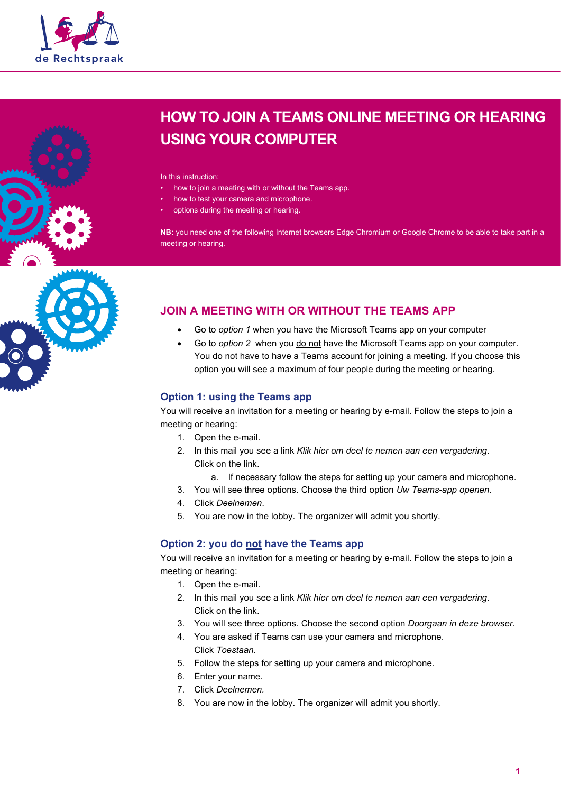



In this instruction:

- how to join a meeting with or without the Teams app.
- how to test your camera and microphone.
- options during the meeting or hearing.

**NB:** you need one of the following Internet browsers Edge Chromium or Google Chrome to be able to take part in a meeting or hearing.

# **JOIN A MEETING WITH OR WITHOUT THE TEAMS APP**

- Go to *option 1* when you have the Microsoft Teams app on your computer
- Go to *option 2* when you do not have the Microsoft Teams app on your computer. You do not have to have a Teams account for joining a meeting. If you choose this option you will see a maximum of four people during the meeting or hearing.

### **Option 1: using the Teams app**

You will receive an invitation for a meeting or hearing by e-mail. Follow the steps to join a meeting or hearing:

- 1. Open the e-mail.
- 2. In this mail you see a link *Klik hier om deel te nemen aan een vergadering.* Click on the link.
	- a. If necessary follow the steps for setting up your camera and microphone.
- 3. You will see three options. Choose the third option *Uw Teams-app openen.*
- 4. Click *Deelnemen*.
- 5. You are now in the lobby. The organizer will admit you shortly.

### **Option 2: you do not have the Teams app**

You will receive an invitation for a meeting or hearing by e-mail. Follow the steps to join a meeting or hearing:

- 1. Open the e-mail.
- 2. In this mail you see a link *Klik hier om deel te nemen aan een vergadering.* Click on the link.
- 3. You will see three options. Choose the second option *Doorgaan in deze browser.*
- 4. You are asked if Teams can use your camera and microphone. Click *Toestaan*.
- 5. Follow the steps for setting up your camera and microphone.
- 6. Enter your name.
- 7. Click *Deelnemen.*
- 8. You are now in the lobby. The organizer will admit you shortly.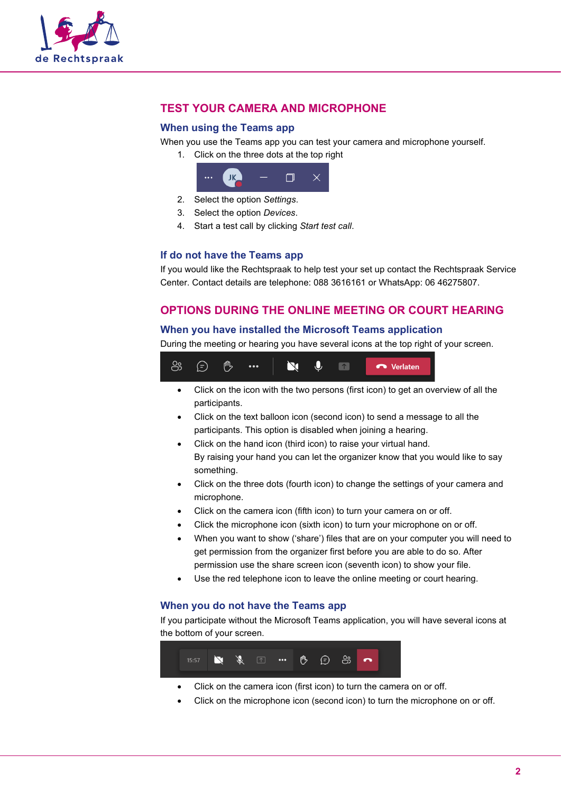

# **TEST YOUR CAMERA AND MICROPHONE**

#### **When using the Teams app**

When you use the Teams app you can test your camera and microphone yourself.

1. Click on the three dots at the top right



- 2. Select the option *Settings*.
- 3. Select the option *Devices*.
- 4. Start a test call by clicking *Start test call*.

#### **If do not have the Teams app**

If you would like the Rechtspraak to help test your set up contact the Rechtspraak Service Center. Contact details are telephone: 088 3616161 or WhatsApp: 06 46275807.

## **OPTIONS DURING THE ONLINE MEETING OR COURT HEARING**

#### **When you have installed the Microsoft Teams application**

During the meeting or hearing you have several icons at the top right of your screen.



- Click on the icon with the two persons (first icon) to get an overview of all the participants.
- Click on the text balloon icon (second icon) to send a message to all the participants. This option is disabled when joining a hearing.
- Click on the hand icon (third icon) to raise your virtual hand. By raising your hand you can let the organizer know that you would like to say something.
- Click on the three dots (fourth icon) to change the settings of your camera and microphone.
- Click on the camera icon (fifth icon) to turn your camera on or off.
- Click the microphone icon (sixth icon) to turn your microphone on or off.
- When you want to show ('share') files that are on your computer you will need to get permission from the organizer first before you are able to do so. After permission use the share screen icon (seventh icon) to show your file.
- Use the red telephone icon to leave the online meeting or court hearing.

#### **When you do not have the Teams app**

If you participate without the Microsoft Teams application, you will have several icons at the bottom of your screen.



- Click on the camera icon (first icon) to turn the camera on or off.
- Click on the microphone icon (second icon) to turn the microphone on or off.